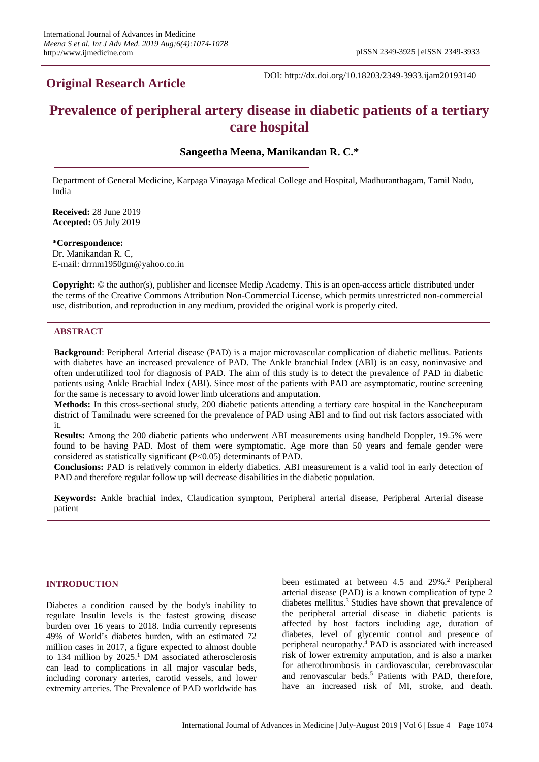# **Original Research Article**

DOI: http://dx.doi.org/10.18203/2349-3933.ijam20193140

# **Prevalence of peripheral artery disease in diabetic patients of a tertiary care hospital**

# **Sangeetha Meena, Manikandan R. C.\***

Department of General Medicine, Karpaga Vinayaga Medical College and Hospital, Madhuranthagam, Tamil Nadu, India

**Received:** 28 June 2019 **Accepted:** 05 July 2019

**\*Correspondence:** Dr. Manikandan R. C, E-mail: drrnm1950gm@yahoo.co.in

**Copyright:** © the author(s), publisher and licensee Medip Academy. This is an open-access article distributed under the terms of the Creative Commons Attribution Non-Commercial License, which permits unrestricted non-commercial use, distribution, and reproduction in any medium, provided the original work is properly cited.

# **ABSTRACT**

**Background**: Peripheral Arterial disease (PAD) is a major microvascular complication of diabetic mellitus. Patients with diabetes have an increased prevalence of PAD. The Ankle branchial Index (ABI) is an easy, noninvasive and often underutilized tool for diagnosis of PAD. The aim of this study is to detect the prevalence of PAD in diabetic patients using Ankle Brachial Index (ABI). Since most of the patients with PAD are asymptomatic, routine screening for the same is necessary to avoid lower limb ulcerations and amputation.

**Methods:** In this cross-sectional study, 200 diabetic patients attending a tertiary care hospital in the Kancheepuram district of Tamilnadu were screened for the prevalence of PAD using ABI and to find out risk factors associated with it.

**Results:** Among the 200 diabetic patients who underwent ABI measurements using handheld Doppler, 19.5% were found to be having PAD. Most of them were symptomatic. Age more than 50 years and female gender were considered as statistically significant (P<0.05) determinants of PAD.

**Conclusions:** PAD is relatively common in elderly diabetics. ABI measurement is a valid tool in early detection of PAD and therefore regular follow up will decrease disabilities in the diabetic population.

**Keywords:** Ankle brachial index, Claudication symptom, Peripheral arterial disease, Peripheral Arterial disease patient

#### **INTRODUCTION**

Diabetes a condition caused by the body's inability to regulate Insulin levels is the fastest growing disease burden over 16 years to 2018. India currently represents 49% of World's diabetes burden, with an estimated 72 million cases in 2017, a figure expected to almost double to 134 million by 2025. <sup>1</sup> DM associated atherosclerosis can lead to complications in all major vascular beds, including coronary arteries, carotid vessels, and lower extremity arteries. The Prevalence of PAD worldwide has been estimated at between 4.5 and 29%.<sup>2</sup> Peripheral arterial disease (PAD) is a known complication of type 2 diabetes mellitus.<sup>3</sup> Studies have shown that prevalence of the peripheral arterial disease in diabetic patients is affected by host factors including age, duration of diabetes, level of glycemic control and presence of peripheral neuropathy.<sup>4</sup> PAD is associated with increased risk of lower extremity amputation, and is also a marker for atherothrombosis in cardiovascular, cerebrovascular and renovascular beds.<sup>5</sup> Patients with PAD, therefore, have an increased risk of MI, stroke, and death.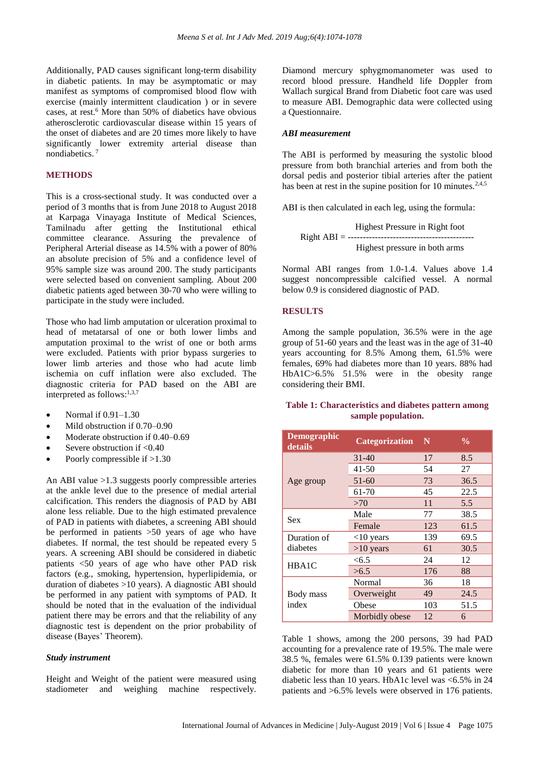Additionally, PAD causes significant long-term disability in diabetic patients. In may be asymptomatic or may manifest as symptoms of compromised blood flow with exercise (mainly intermittent claudication ) or in severe cases, at rest.<sup>6</sup> More than 50% of diabetics have obvious atherosclerotic cardiovascular disease within 15 years of the onset of diabetes and are 20 times more likely to have significantly lower extremity arterial disease than nondiabetics. 7

# **METHODS**

This is a cross-sectional study. It was conducted over a period of 3 months that is from June 2018 to August 2018 at Karpaga Vinayaga Institute of Medical Sciences, Tamilnadu after getting the Institutional ethical committee clearance. Assuring the prevalence of Peripheral Arterial disease as 14.5% with a power of 80% an absolute precision of 5% and a confidence level of 95% sample size was around 200. The study participants were selected based on convenient sampling. About 200 diabetic patients aged between 30-70 who were willing to participate in the study were included.

Those who had limb amputation or ulceration proximal to head of metatarsal of one or both lower limbs and amputation proximal to the wrist of one or both arms were excluded. Patients with prior bypass surgeries to lower limb arteries and those who had acute limb ischemia on cuff inflation were also excluded. The diagnostic criteria for PAD based on the ABI are interpreted as follows:<sup>1,3,7</sup>

- Normal if 0.91–1.30
- Mild obstruction if 0.70–0.90
- Moderate obstruction if 0.40–0.69
- Severe obstruction if  $< 0.40$
- Poorly compressible if  $>1.30$

An ABI value >1.3 suggests poorly compressible arteries at the ankle level due to the presence of medial arterial calcification. This renders the diagnosis of PAD by ABI alone less reliable. Due to the high estimated prevalence of PAD in patients with diabetes, a screening ABI should be performed in patients >50 years of age who have diabetes. If normal, the test should be repeated every 5 years. A screening ABI should be considered in diabetic patients <50 years of age who have other PAD risk factors (e.g., smoking, hypertension, hyperlipidemia, or duration of diabetes >10 years). A diagnostic ABI should be performed in any patient with symptoms of PAD. It should be noted that in the evaluation of the individual patient there may be errors and that the reliability of any diagnostic test is dependent on the prior probability of disease (Bayes' Theorem).

#### *Study instrument*

Height and Weight of the patient were measured using stadiometer and weighing machine respectively. Diamond mercury sphygmomanometer was used to record blood pressure. Handheld life Doppler from Wallach surgical Brand from Diabetic foot care was used to measure ABI. Demographic data were collected using a Questionnaire.

#### *ABI measurement*

The ABI is performed by measuring the systolic blood pressure from both branchial arteries and from both the dorsal pedis and posterior tibial arteries after the patient has been at rest in the supine position for 10 minutes.<sup>2,4,5</sup>

ABI is then calculated in each leg, using the formula:

 Highest Pressure in Right foot  $Right$   $ABI =$  ----Highest pressure in both arms

Normal ABI ranges from 1.0-1.4. Values above 1.4 suggest noncompressible calcified vessel. A normal below 0.9 is considered diagnostic of PAD.

# **RESULTS**

Among the sample population, 36.5% were in the age group of 51-60 years and the least was in the age of 31-40 years accounting for 8.5% Among them, 61.5% were females, 69% had diabetes more than 10 years. 88% had HbA1C>6.5% 51.5% were in the obesity range considering their BMI.

## **Table 1: Characteristics and diabetes pattern among sample population.**

| <b>Demographic</b><br><b>Categorization</b><br>details |                | N   | $\frac{0}{0}$ |
|--------------------------------------------------------|----------------|-----|---------------|
| Age group                                              | $31 - 40$      | 17  | 8.5           |
|                                                        | $41 - 50$      | 54  | 27            |
|                                                        | 51-60          | 73  | 36.5          |
|                                                        | 61-70          | 45  | 22.5          |
|                                                        | >70            | 11  | 5.5           |
| Sex                                                    | Male           | 77  | 38.5          |
|                                                        | Female         | 123 | 61.5          |
| Duration of                                            | $<$ 10 years   | 139 | 69.5          |
| diabetes                                               | $>10$ years    | 61  | 30.5          |
| HBA1C                                                  | <6.5           | 24  | 12            |
|                                                        | >6.5           | 176 | 88            |
|                                                        | Normal         | 36  | 18            |
| Body mass                                              | Overweight     | 49  | 24.5          |
| index                                                  | Obese          | 103 | 51.5          |
|                                                        | Morbidly obese | 12  | 6             |

Table 1 shows, among the 200 persons, 39 had PAD accounting for a prevalence rate of 19.5%. The male were 38.5 %, females were 61.5% 0.139 patients were known diabetic for more than 10 years and 61 patients were diabetic less than 10 years. HbA1c level was <6.5% in 24 patients and >6.5% levels were observed in 176 patients.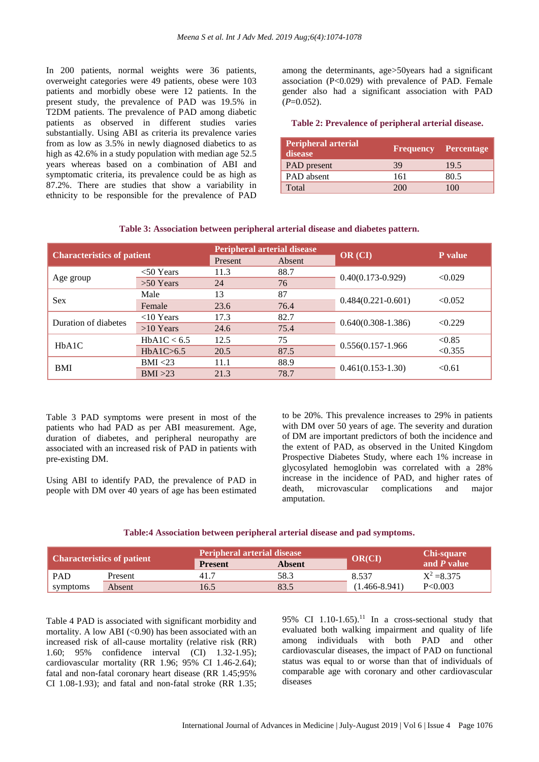In 200 patients, normal weights were 36 patients, overweight categories were 49 patients, obese were 103 patients and morbidly obese were 12 patients. In the present study, the prevalence of PAD was 19.5% in T2DM patients. The prevalence of PAD among diabetic patients as observed in different studies varies substantially. Using ABI as criteria its prevalence varies from as low as 3.5% in newly diagnosed diabetics to as high as 42.6% in a study population with median age 52.5 years whereas based on a combination of ABI and symptomatic criteria, its prevalence could be as high as 87.2%. There are studies that show a variability in ethnicity to be responsible for the prevalence of PAD

among the determinants, age>50years had a significant association  $(P<0.029)$  with prevalence of PAD. Female gender also had a significant association with PAD  $(P=0.052)$ .

#### **Table 2: Prevalence of peripheral arterial disease.**

| <b>Peripheral arterial</b><br>disease | <b>Frequency Percentage</b> |      |
|---------------------------------------|-----------------------------|------|
| PAD present                           | 39                          | 19.5 |
| PAD absent                            | 161                         | 80.5 |
| Total                                 | 200                         | 100  |

#### **Table 3: Association between peripheral arterial disease and diabetes pattern.**

| <b>Characteristics of patient</b> |              | <b>Peripheral arterial disease</b> |        |                       | P value           |
|-----------------------------------|--------------|------------------------------------|--------|-----------------------|-------------------|
|                                   |              | Present                            | Absent | OR (CI)               |                   |
| Age group                         | $<$ 50 Years | 11.3                               | 88.7   | $0.40(0.173 - 0.929)$ | < 0.029           |
|                                   | $>50$ Years  | 24                                 | 76     |                       |                   |
| <b>Sex</b>                        | Male         | 13                                 | 87     |                       | < 0.052           |
|                                   | Female       | 23.6                               | 76.4   | $0.484(0.221-0.601)$  |                   |
| Duration of diabetes              | $<$ 10 Years | 17.3                               | 82.7   |                       | < 0.229           |
|                                   | $>10$ Years  | 24.6                               | 75.4   | $0.640(0.308-1.386)$  |                   |
| HbA1C                             | HbA1C < 6.5  | 12.5                               | 75     |                       | < 0.85<br>< 0.355 |
|                                   | HbA1C>6.5    | 20.5                               | 87.5   | 0.556(0.157-1.966     |                   |
| <b>BMI</b>                        | BMI < 23     | 11.1                               | 88.9   |                       | < 0.61            |
|                                   | BMI >23      | 21.3                               | 78.7   | $0.461(0.153-1.30)$   |                   |

Table 3 PAD symptoms were present in most of the patients who had PAD as per ABI measurement. Age, duration of diabetes, and peripheral neuropathy are associated with an increased risk of PAD in patients with pre-existing DM.

Using ABI to identify PAD, the prevalence of PAD in people with DM over 40 years of age has been estimated to be 20%. This prevalence increases to 29% in patients with DM over 50 years of age. The severity and duration of DM are important predictors of both the incidence and the extent of PAD, as observed in the United Kingdom Prospective Diabetes Study, where each 1% increase in glycosylated hemoglobin was correlated with a 28% increase in the incidence of PAD, and higher rates of death, microvascular complications and major amputation.

#### **Table:4 Association between peripheral arterial disease and pad symptoms.**

| <b>Characteristics of patient</b> |         | <b>Peripheral arterial disease</b> |               |                   | <b>Chi-square</b> |
|-----------------------------------|---------|------------------------------------|---------------|-------------------|-------------------|
|                                   |         | <b>Present</b>                     | <b>Absent</b> | <b>OR(CI)</b>     | and $P$ value     |
| <b>PAD</b>                        | Present | 41.7                               | 58.3          | 8.537             | $X^2 = 8.375$     |
| symptoms                          | Absent  | 16.5                               | 83.5          | $(1.466 - 8.941)$ | P < 0.003         |

Table 4 PAD is associated with significant morbidity and mortality. A low ABI  $(<0.90$ ) has been associated with an increased risk of all-cause mortality (relative risk (RR) 1.60; 95% confidence interval (CI) 1.32-1.95); cardiovascular mortality (RR 1.96; 95% CI 1.46-2.64); fatal and non-fatal coronary heart disease (RR 1.45;95% CI 1.08-1.93); and fatal and non-fatal stroke (RR 1.35; 95% CI  $1.10-1.65$ .<sup>[11](http://spectrum.diabetesjournals.org/content/21/3/171#ref-11)</sup> In a cross-sectional study that evaluated both walking impairment and quality of life among individuals with both PAD and other cardiovascular diseases, the impact of PAD on functional status was equal to or worse than that of individuals of comparable age with coronary and other cardiovascular diseases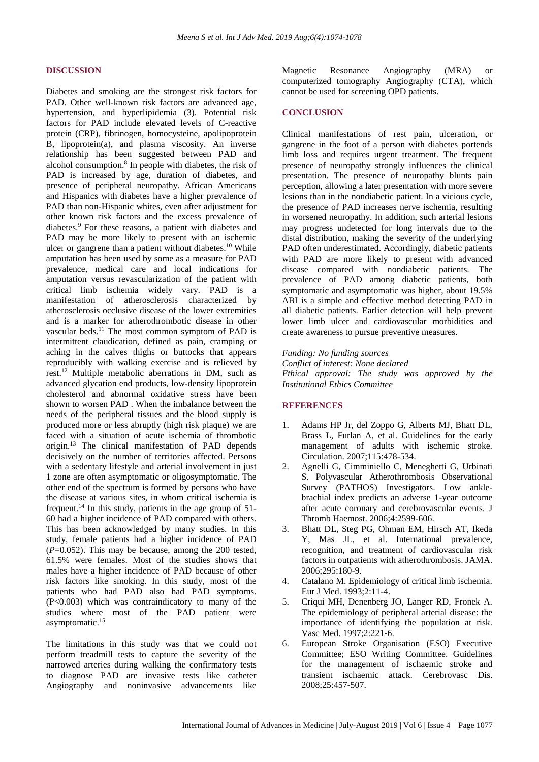#### **DISCUSSION**

Diabetes and smoking are the strongest risk factors for PAD. Other well-known risk factors are advanced age, hypertension, and hyperlipidemia (3). Potential risk factors for PAD include elevated levels of C-reactive protein (CRP), fibrinogen, homocysteine, apolipoprotein B, lipoprotein(a), and plasma viscosity. An inverse relationship has been suggested between PAD and alcohol consumption. 8 In people with diabetes, the risk of PAD is increased by age, duration of diabetes, and presence of peripheral neuropathy. African Americans and Hispanics with diabetes have a higher prevalence of PAD than non-Hispanic whites, even after adjustment for other known risk factors and the excess prevalence of diabetes.<sup>9</sup> For these reasons, a patient with diabetes and PAD may be more likely to present with an ischemic ulcer or gangrene than a patient without diabetes.<sup>10</sup> While amputation has been used by some as a measure for PAD prevalence, medical care and local indications for amputation versus revascularization of the patient with critical limb ischemia widely vary. PAD is a manifestation of atherosclerosis characterized by atherosclerosis occlusive disease of the lower extremities and is a marker for atherothrombotic disease in other vascular beds.<sup>11</sup> The most common symptom of PAD is intermittent claudication, defined as pain, cramping or aching in the calves thighs or buttocks that appears reproducibly with walking exercise and is relieved by rest.<sup>12</sup> Multiple metabolic aberrations in DM, such as advanced glycation end products, low-density lipoprotein cholesterol and abnormal oxidative stress have been shown to worsen PAD . When the imbalance between the needs of the peripheral tissues and the blood supply is produced more or less abruptly (high risk plaque) we are faced with a situation of acute ischemia of thrombotic origin.<sup>13</sup> The clinical manifestation of PAD depends decisively on the number of territories affected. Persons with a sedentary lifestyle and arterial involvement in just 1 zone are often asymptomatic or oligosymptomatic. The other end of the spectrum is formed by persons who have the disease at various sites, in whom critical ischemia is frequent.<sup>14</sup> In this study, patients in the age group of 51- 60 had a higher incidence of PAD compared with others. This has been acknowledged by many studies. In this study, female patients had a higher incidence of PAD  $(P=0.052)$ . This may be because, among the 200 tested, 61.5% were females. Most of the studies shows that males have a higher incidence of PAD because of other risk factors like smoking. In this study, most of the patients who had PAD also had PAD symptoms. (P<0.003) which was contraindicatory to many of the studies where most of the PAD patient were asymptomatic.<sup>15</sup>

The limitations in this study was that we could not perform treadmill tests to capture the severity of the narrowed arteries during walking the confirmatory tests to diagnose PAD are invasive tests like catheter Angiography and noninvasive advancements like Magnetic Resonance Angiography (MRA) or computerized tomography Angiography (CTA), which cannot be used for screening OPD patients.

## **CONCLUSION**

Clinical manifestations of rest pain, ulceration, or gangrene in the foot of a person with diabetes portends limb loss and requires urgent treatment. The frequent presence of neuropathy strongly influences the clinical presentation. The presence of neuropathy blunts pain perception, allowing a later presentation with more severe lesions than in the nondiabetic patient. In a vicious cycle, the presence of PAD increases nerve ischemia, resulting in worsened neuropathy. In addition, such arterial lesions may progress undetected for long intervals due to the distal distribution, making the severity of the underlying PAD often underestimated. Accordingly, diabetic patients with PAD are more likely to present with advanced disease compared with nondiabetic patients. The prevalence of PAD among diabetic patients, both symptomatic and asymptomatic was higher, about 19.5% ABI is a simple and effective method detecting PAD in all diabetic patients. Earlier detection will help prevent lower limb ulcer and cardiovascular morbidities and create awareness to pursue preventive measures.

*Funding: No funding sources Conflict of interest: None declared Ethical approval: The study was approved by the Institutional Ethics Committee*

# **REFERENCES**

- 1. Adams HP Jr, del Zoppo G, Alberts MJ, Bhatt DL, Brass L, Furlan A, et al. Guidelines for the early management of adults with ischemic stroke. Circulation. 2007;115:478-534.
- 2. Agnelli G, Cimminiello C, Meneghetti G, Urbinati S. Polyvascular Atherothrombosis Observational Survey (PATHOS) Investigators. Low anklebrachial index predicts an adverse 1-year outcome after acute coronary and cerebrovascular events. J Thromb Haemost. 2006;4:2599-606.
- 3. Bhatt DL, Steg PG, Ohman EM, Hirsch AT, Ikeda Y, Mas JL, et al. International prevalence, recognition, and treatment of cardiovascular risk factors in outpatients with atherothrombosis. JAMA. 2006;295:180-9.
- 4. Catalano M. Epidemiology of critical limb ischemia. Eur J Med. 1993;2:11-4.
- 5. Criqui MH, Denenberg JO, Langer RD, Fronek A. The epidemiology of peripheral arterial disease: the importance of identifying the population at risk. Vasc Med. 1997;2:221-6.
- 6. European Stroke Organisation (ESO) Executive Committee; ESO Writing Committee. Guidelines for the management of ischaemic stroke and transient ischaemic attack. Cerebrovasc Dis. 2008;25:457-507.